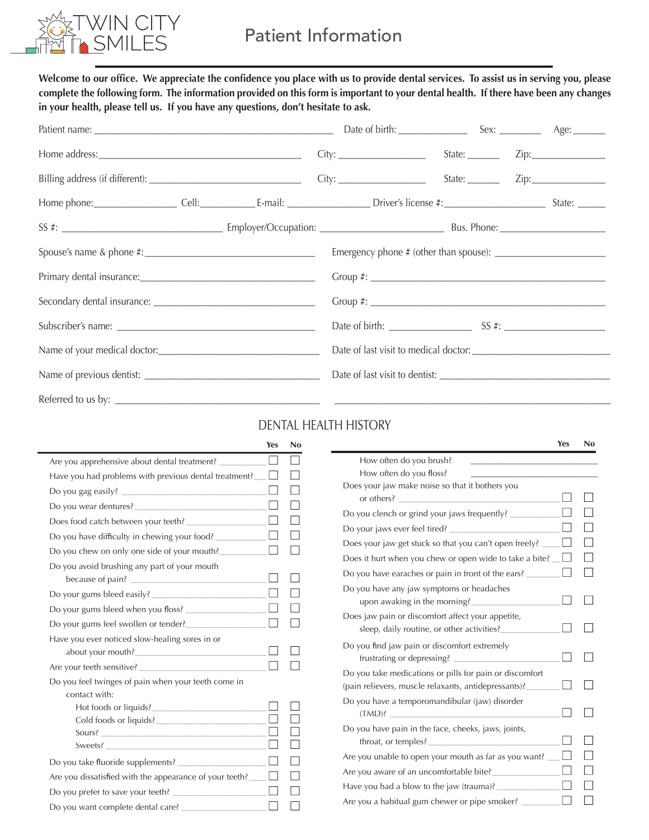

Welcome to our office. We appreciate the confidence you place with us to provide dental services. To assist us in serving you, please complete the following form. The information provided on this form is important to your dental health. If there have been any changes **in your health, please tell us. If you have any questions, don't hesitate to ask.**

## DENTAL HEALTH HISTORY

|                                                                      | Yes    | No |
|----------------------------------------------------------------------|--------|----|
| Are you apprehensive about dental treatment?                         |        |    |
| Have you had problems with previous dental treatment?                |        |    |
| Do you gag easily?                                                   |        |    |
| Do you wear dentures?                                                |        |    |
| Does food catch between your teeth?                                  |        |    |
| Do you have difficulty in chewing your food?                         |        |    |
| Do you chew on only one side of your mouth?                          |        |    |
| Do you avoid brushing any part of your mouth                         |        |    |
|                                                                      |        |    |
| Do your gums bleed when you floss?                                   |        |    |
| Do your gums feel swollen or tender?                                 |        |    |
| Have you ever noticed slow-healing sores in or<br>about your mouth?  |        |    |
| Are your teeth sensitive?                                            |        |    |
| Do you feel twinges of pain when your teeth come in<br>contact with: |        |    |
|                                                                      |        |    |
| Sours?<br>Sweets?                                                    |        |    |
| Do you take fluoride supplements? ________________                   |        |    |
| Are you dissatisfied with the appearance of your teeth?              | $\Box$ |    |
|                                                                      |        |    |
| Do you want complete dental care?                                    |        |    |

|                                                                                                                 | Yes | No |
|-----------------------------------------------------------------------------------------------------------------|-----|----|
| How often do you brush?                                                                                         |     |    |
| How often do you floss?                                                                                         |     |    |
| Does your jaw make noise so that it bothers you<br>or others?                                                   |     |    |
| Do you clench or grind your jaws frequently?                                                                    |     |    |
| Do your jaws ever feel tired?                                                                                   |     |    |
| Does your jaw get stuck so that you can't open freely?                                                          |     |    |
| Does it hurt when you chew or open wide to take a bite?                                                         | ×.  |    |
| Do you have earaches or pain in front of the ears? _                                                            |     |    |
| Do you have any jaw symptoms or headaches<br>upon awaking in the morning?                                       |     |    |
| Does jaw pain or discomfort affect your appetite,<br>sleep, daily routine, or other activities?                 |     |    |
| Do you find jaw pain or discomfort extremely<br>frustrating or depressing?                                      |     |    |
| Do you take medications or pills for pain or discomfort<br>(pain relievers, muscle relaxants, antidepressants)? |     |    |
| Do you have a temporomandibular (jaw) disorder<br>(TMD)?                                                        |     |    |
| Do you have pain in the face, cheeks, jaws, joints,<br>throat, or temples?                                      |     |    |
| Are you unable to open your mouth as far as you want?                                                           |     |    |
| Are you aware of an uncomfortable bite?                                                                         |     |    |
| Have you had a blow to the jaw (trauma)?                                                                        |     |    |
| Are you a habitual gum chewer or pipe smoker?                                                                   |     |    |